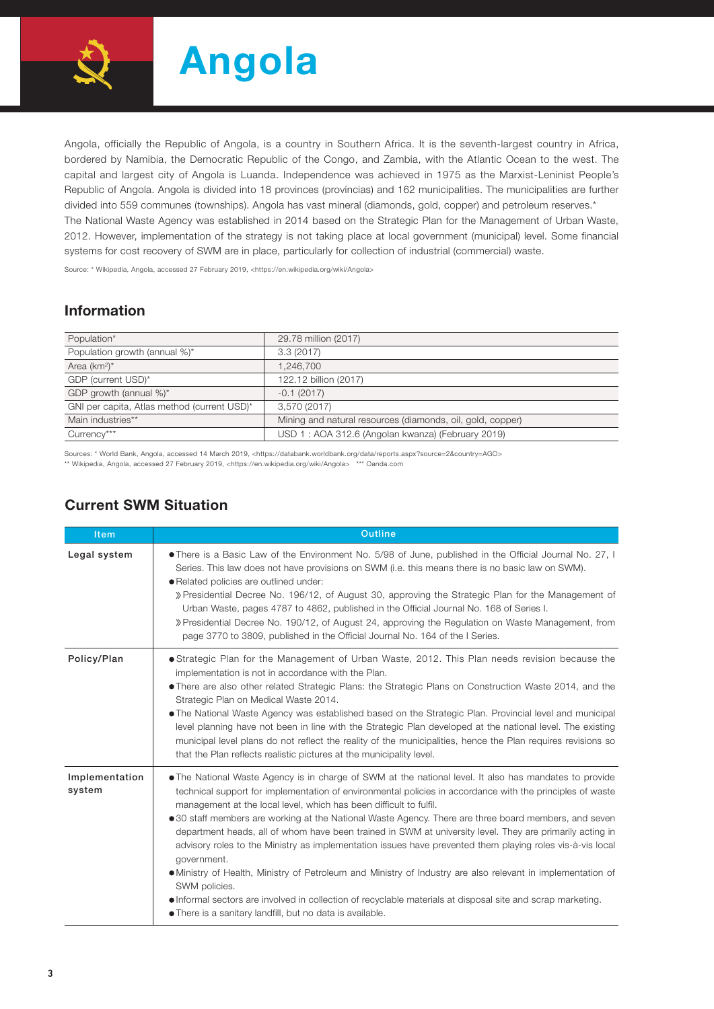

Angola, officially the Republic of Angola, is a country in Southern Africa. It is the seventh-largest country in Africa, bordered by Namibia, the Democratic Republic of the Congo, and Zambia, with the Atlantic Ocean to the west. The capital and largest city of Angola is Luanda. Independence was achieved in 1975 as the Marxist-Leninist People's Republic of Angola. Angola is divided into 18 provinces (províncias) and 162 municipalities. The municipalities are further divided into 559 communes (townships). Angola has vast mineral (diamonds, gold, copper) and petroleum reserves.\* The National Waste Agency was established in 2014 based on the Strategic Plan for the Management of Urban Waste, 2012. However, implementation of the strategy is not taking place at local government (municipal) level. Some financial systems for cost recovery of SWM are in place, particularly for collection of industrial (commercial) waste.

Source: \* Wikipedia, Angola, accessed 27 February 2019, <https://en.wikipedia.org/wiki/Angola>

## Information

| Population*                                 | 29.78 million (2017)                                       |
|---------------------------------------------|------------------------------------------------------------|
| Population growth (annual %)*               | 3.3(2017)                                                  |
| Area $(km^2)^*$                             | 1.246.700                                                  |
| GDP (current USD)*                          | 122.12 billion (2017)                                      |
| GDP growth (annual %)*                      | $-0.1(2017)$                                               |
| GNI per capita, Atlas method (current USD)* | 3,570 (2017)                                               |
| Main industries**                           | Mining and natural resources (diamonds, oil, gold, copper) |
| Currency***                                 | USD 1: AOA 312.6 (Angolan kwanza) (February 2019)          |

Sources: \* World Bank, Angola, accessed 14 March 2019, <https://databank.worldbank.org/data/reports.aspx?source=2&country=AGO>

\*\* Wikipedia, Angola, accessed 27 February 2019, <https://en.wikipedia.org/wiki/Angola> \*\*\* Oanda.com

| <b>Item</b>              | <b>Outline</b>                                                                                                                                                                                                                                                                                                                                                                                                                                                                                                                                                                                                                                                                                                                                                                                                                                                                                                                                         |  |  |  |  |  |
|--------------------------|--------------------------------------------------------------------------------------------------------------------------------------------------------------------------------------------------------------------------------------------------------------------------------------------------------------------------------------------------------------------------------------------------------------------------------------------------------------------------------------------------------------------------------------------------------------------------------------------------------------------------------------------------------------------------------------------------------------------------------------------------------------------------------------------------------------------------------------------------------------------------------------------------------------------------------------------------------|--|--|--|--|--|
| Legal system             | • There is a Basic Law of the Environment No. 5/98 of June, published in the Official Journal No. 27, I<br>Series. This law does not have provisions on SWM (i.e. this means there is no basic law on SWM).<br>· Related policies are outlined under:<br>» Presidential Decree No. 196/12, of August 30, approving the Strategic Plan for the Management of<br>Urban Waste, pages 4787 to 4862, published in the Official Journal No. 168 of Series I.<br>» Presidential Decree No. 190/12, of August 24, approving the Regulation on Waste Management, from<br>page 3770 to 3809, published in the Official Journal No. 164 of the I Series.                                                                                                                                                                                                                                                                                                          |  |  |  |  |  |
| Policy/Plan              | • Strategic Plan for the Management of Urban Waste, 2012. This Plan needs revision because the<br>implementation is not in accordance with the Plan.<br>• There are also other related Strategic Plans: the Strategic Plans on Construction Waste 2014, and the<br>Strategic Plan on Medical Waste 2014.<br>• The National Waste Agency was established based on the Strategic Plan. Provincial level and municipal<br>level planning have not been in line with the Strategic Plan developed at the national level. The existing<br>municipal level plans do not reflect the reality of the municipalities, hence the Plan requires revisions so<br>that the Plan reflects realistic pictures at the municipality level.                                                                                                                                                                                                                              |  |  |  |  |  |
| Implementation<br>system | • The National Waste Agency is in charge of SWM at the national level. It also has mandates to provide<br>technical support for implementation of environmental policies in accordance with the principles of waste<br>management at the local level, which has been difficult to fulfil.<br>• 30 staff members are working at the National Waste Agency. There are three board members, and seven<br>department heads, all of whom have been trained in SWM at university level. They are primarily acting in<br>advisory roles to the Ministry as implementation issues have prevented them playing roles vis-à-vis local<br>government.<br>• Ministry of Health, Ministry of Petroleum and Ministry of Industry are also relevant in implementation of<br>SWM policies.<br>• Informal sectors are involved in collection of recyclable materials at disposal site and scrap marketing.<br>• There is a sanitary landfill, but no data is available. |  |  |  |  |  |

## Current SWM Situation